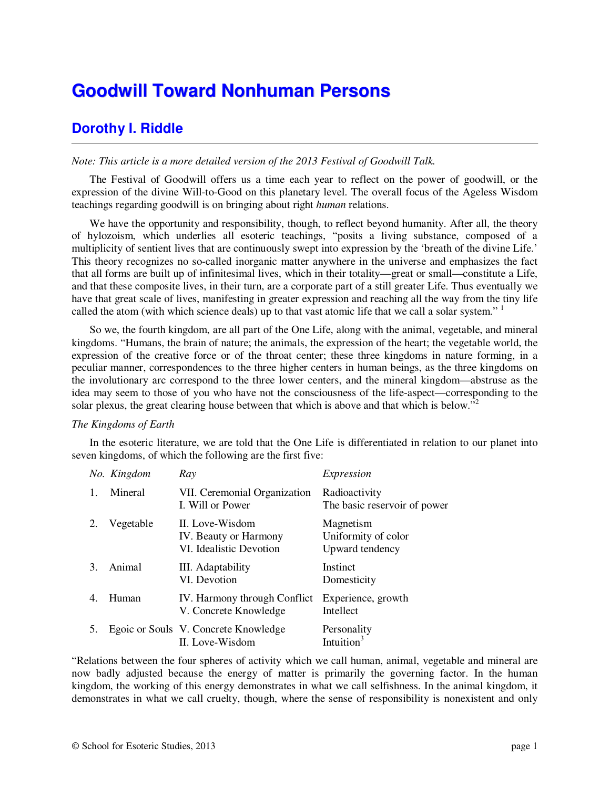# **Goodwill Toward Nonhuman Persons**

# **Dorothy I. Riddle**

# *Note: This article is a more detailed version of the 2013 Festival of Goodwill Talk.*

The Festival of Goodwill offers us a time each year to reflect on the power of goodwill, or the expression of the divine Will-to-Good on this planetary level. The overall focus of the Ageless Wisdom teachings regarding goodwill is on bringing about right *human* relations.

We have the opportunity and responsibility, though, to reflect beyond humanity. After all, the theory of hylozoism, which underlies all esoteric teachings, "posits a living substance, composed of a multiplicity of sentient lives that are continuously swept into expression by the 'breath of the divine Life.' This theory recognizes no so-called inorganic matter anywhere in the universe and emphasizes the fact that all forms are built up of infinitesimal lives, which in their totality—great or small—constitute a Life, and that these composite lives, in their turn, are a corporate part of a still greater Life. Thus eventually we have that great scale of lives, manifesting in greater expression and reaching all the way from the tiny life called the atom (with which science deals) up to that vast atomic life that we call a solar system." <sup>1</sup>

So we, the fourth kingdom, are all part of the One Life, along with the animal, vegetable, and mineral kingdoms. "Humans, the brain of nature; the animals, the expression of the heart; the vegetable world, the expression of the creative force or of the throat center; these three kingdoms in nature forming, in a peculiar manner, correspondences to the three higher centers in human beings, as the three kingdoms on the involutionary arc correspond to the three lower centers, and the mineral kingdom—abstruse as the idea may seem to those of you who have not the consciousness of the life-aspect—corresponding to the solar plexus, the great clearing house between that which is above and that which is below."<sup>2</sup>

# *The Kingdoms of Earth*

In the esoteric literature, we are told that the One Life is differentiated in relation to our planet into seven kingdoms, of which the following are the first five:

|                | No. Kingdom | Ray                                                                 | Expression                                          |
|----------------|-------------|---------------------------------------------------------------------|-----------------------------------------------------|
|                | Mineral     | VII. Ceremonial Organization<br>I. Will or Power                    | Radioactivity<br>The basic reservoir of power       |
|                | Vegetable   | II. Love-Wisdom<br>IV. Beauty or Harmony<br>VI. Idealistic Devotion | Magnetism<br>Uniformity of color<br>Upward tendency |
| 3.             | Animal      | III. Adaptability<br>VI. Devotion                                   | Instinct<br>Domesticity                             |
| $\overline{4}$ | Human       | IV. Harmony through Conflict<br>V. Concrete Knowledge               | Experience, growth<br>Intellect                     |
| 5.             |             | Egoic or Souls V. Concrete Knowledge<br>II. Love-Wisdom             | Personality<br>Intuition                            |

"Relations between the four spheres of activity which we call human, animal, vegetable and mineral are now badly adjusted because the energy of matter is primarily the governing factor. In the human kingdom, the working of this energy demonstrates in what we call selfishness. In the animal kingdom, it demonstrates in what we call cruelty, though, where the sense of responsibility is nonexistent and only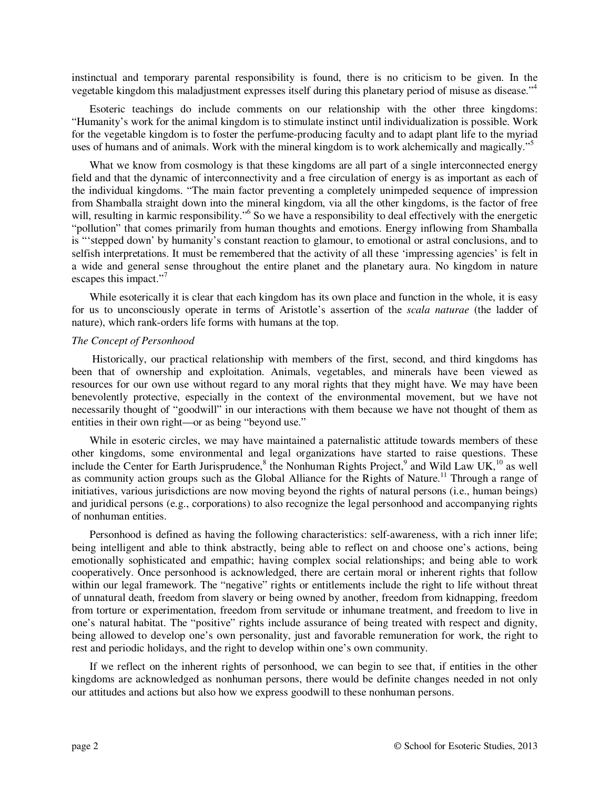instinctual and temporary parental responsibility is found, there is no criticism to be given. In the vegetable kingdom this maladjustment expresses itself during this planetary period of misuse as disease."<sup>4</sup>

Esoteric teachings do include comments on our relationship with the other three kingdoms: "Humanity's work for the animal kingdom is to stimulate instinct until individualization is possible. Work for the vegetable kingdom is to foster the perfume-producing faculty and to adapt plant life to the myriad uses of humans and of animals. Work with the mineral kingdom is to work alchemically and magically."<sup>5</sup>

What we know from cosmology is that these kingdoms are all part of a single interconnected energy field and that the dynamic of interconnectivity and a free circulation of energy is as important as each of the individual kingdoms. "The main factor preventing a completely unimpeded sequence of impression from Shamballa straight down into the mineral kingdom, via all the other kingdoms, is the factor of free will, resulting in karmic responsibility."<sup>6</sup> So we have a responsibility to deal effectively with the energetic "pollution" that comes primarily from human thoughts and emotions. Energy inflowing from Shamballa is "'stepped down' by humanity's constant reaction to glamour, to emotional or astral conclusions, and to selfish interpretations. It must be remembered that the activity of all these 'impressing agencies' is felt in a wide and general sense throughout the entire planet and the planetary aura. No kingdom in nature escapes this impact."<sup>7</sup>

While esoterically it is clear that each kingdom has its own place and function in the whole, it is easy for us to unconsciously operate in terms of Aristotle's assertion of the *scala naturae* (the ladder of nature), which rank-orders life forms with humans at the top.

#### *The Concept of Personhood*

 Historically, our practical relationship with members of the first, second, and third kingdoms has been that of ownership and exploitation. Animals, vegetables, and minerals have been viewed as resources for our own use without regard to any moral rights that they might have. We may have been benevolently protective, especially in the context of the environmental movement, but we have not necessarily thought of "goodwill" in our interactions with them because we have not thought of them as entities in their own right—or as being "beyond use."

While in esoteric circles, we may have maintained a paternalistic attitude towards members of these other kingdoms, some environmental and legal organizations have started to raise questions. These include the Center for Earth Jurisprudence,<sup>8</sup> the Nonhuman Rights Project,<sup>9</sup> and Wild Law UK,<sup>10</sup> as well as community action groups such as the Global Alliance for the Rights of Nature.<sup>11</sup> Through a range of initiatives, various jurisdictions are now moving beyond the rights of natural persons (i.e., human beings) and juridical persons (e.g., corporations) to also recognize the legal personhood and accompanying rights of nonhuman entities.

Personhood is defined as having the following characteristics: self-awareness, with a rich inner life; being intelligent and able to think abstractly, being able to reflect on and choose one's actions, being emotionally sophisticated and empathic; having complex social relationships; and being able to work cooperatively. Once personhood is acknowledged, there are certain moral or inherent rights that follow within our legal framework. The "negative" rights or entitlements include the right to life without threat of unnatural death, freedom from slavery or being owned by another, freedom from kidnapping, freedom from torture or experimentation, freedom from servitude or inhumane treatment, and freedom to live in one's natural habitat. The "positive" rights include assurance of being treated with respect and dignity, being allowed to develop one's own personality, just and favorable remuneration for work, the right to rest and periodic holidays, and the right to develop within one's own community.

If we reflect on the inherent rights of personhood, we can begin to see that, if entities in the other kingdoms are acknowledged as nonhuman persons, there would be definite changes needed in not only our attitudes and actions but also how we express goodwill to these nonhuman persons.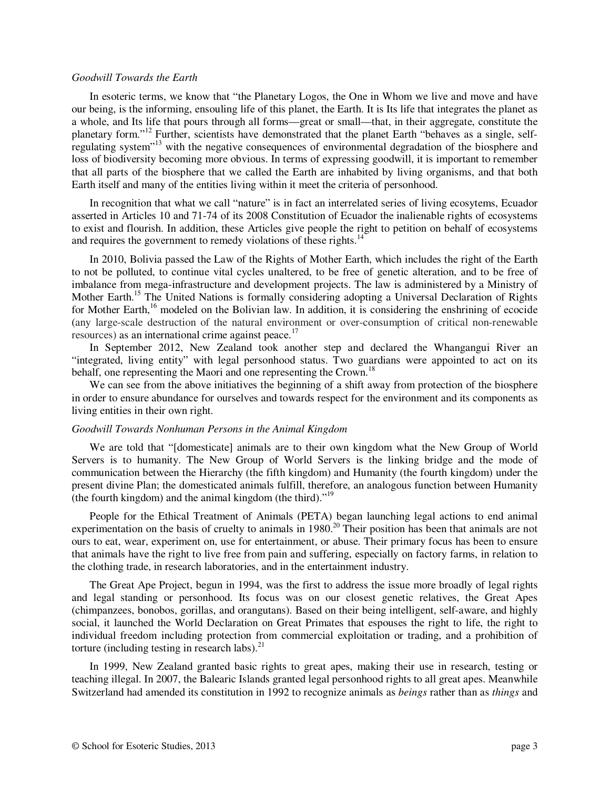#### *Goodwill Towards the Earth*

In esoteric terms, we know that "the Planetary Logos, the One in Whom we live and move and have our being, is the informing, ensouling life of this planet, the Earth. It is Its life that integrates the planet as a whole, and Its life that pours through all forms—great or small—that, in their aggregate, constitute the planetary form."<sup>12</sup> Further, scientists have demonstrated that the planet Earth "behaves as a single, selfregulating system"<sup>13</sup> with the negative consequences of environmental degradation of the biosphere and loss of biodiversity becoming more obvious. In terms of expressing goodwill, it is important to remember that all parts of the biosphere that we called the Earth are inhabited by living organisms, and that both Earth itself and many of the entities living within it meet the criteria of personhood.

In recognition that what we call "nature" is in fact an interrelated series of living ecosytems, Ecuador asserted in Articles 10 and 71-74 of its 2008 Constitution of Ecuador the inalienable rights of ecosystems to exist and flourish. In addition, these Articles give people the right to petition on behalf of ecosystems and requires the government to remedy violations of these rights.<sup>14</sup>

In 2010, Bolivia passed the Law of the Rights of Mother Earth, which includes the right of the Earth to not be polluted, to continue vital cycles unaltered, to be free of genetic alteration, and to be free of imbalance from mega-infrastructure and development projects. The law is administered by a Ministry of Mother Earth.<sup>15</sup> The United Nations is formally considering adopting a Universal Declaration of Rights for Mother Earth,<sup>16</sup> modeled on the Bolivian law. In addition, it is considering the enshrining of ecocide (any large-scale destruction of the natural environment or over-consumption of critical non-renewable resources) as an international crime against peace.<sup>17</sup>

In September 2012, New Zealand took another step and declared the Whangangui River an "integrated, living entity" with legal personhood status. Two guardians were appointed to act on its behalf, one representing the Maori and one representing the Crown.<sup>18</sup>

We can see from the above initiatives the beginning of a shift away from protection of the biosphere in order to ensure abundance for ourselves and towards respect for the environment and its components as living entities in their own right.

#### *Goodwill Towards Nonhuman Persons in the Animal Kingdom*

We are told that "[domesticate] animals are to their own kingdom what the New Group of World Servers is to humanity. The New Group of World Servers is the linking bridge and the mode of communication between the Hierarchy (the fifth kingdom) and Humanity (the fourth kingdom) under the present divine Plan; the domesticated animals fulfill, therefore, an analogous function between Humanity (the fourth kingdom) and the animal kingdom (the third)."<sup>19</sup>

People for the Ethical Treatment of Animals (PETA) began launching legal actions to end animal experimentation on the basis of cruelty to animals in 1980.<sup>20</sup> Their position has been that animals are not ours to eat, wear, experiment on, use for entertainment, or abuse. Their primary focus has been to ensure that animals have the right to live free from pain and suffering, especially on factory farms, in relation to the clothing trade, in research laboratories, and in the entertainment industry.

The Great Ape Project, begun in 1994, was the first to address the issue more broadly of legal rights and legal standing or personhood. Its focus was on our closest genetic relatives, the Great Apes (chimpanzees, bonobos, gorillas, and orangutans). Based on their being intelligent, self-aware, and highly social, it launched the World Declaration on Great Primates that espouses the right to life, the right to individual freedom including protection from commercial exploitation or trading, and a prohibition of torture (including testing in research labs). $^{21}$ 

In 1999, New Zealand granted basic rights to great apes, making their use in research, testing or teaching illegal. In 2007, the Balearic Islands granted legal personhood rights to all great apes. Meanwhile Switzerland had amended its constitution in 1992 to recognize animals as *beings* rather than as *things* and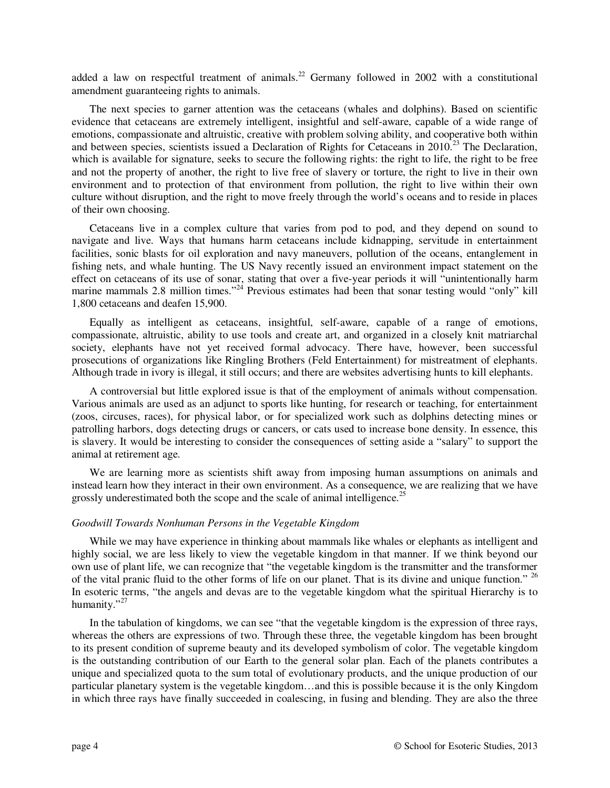added a law on respectful treatment of animals.<sup>22</sup> Germany followed in 2002 with a constitutional amendment guaranteeing rights to animals.

The next species to garner attention was the cetaceans (whales and dolphins). Based on scientific evidence that cetaceans are extremely intelligent, insightful and self-aware, capable of a wide range of emotions, compassionate and altruistic, creative with problem solving ability, and cooperative both within and between species, scientists issued a Declaration of Rights for Cetaceans in 2010.<sup>23</sup> The Declaration, which is available for signature, seeks to secure the following rights: the right to life, the right to be free and not the property of another, the right to live free of slavery or torture, the right to live in their own environment and to protection of that environment from pollution, the right to live within their own culture without disruption, and the right to move freely through the world's oceans and to reside in places of their own choosing.

Cetaceans live in a complex culture that varies from pod to pod, and they depend on sound to navigate and live. Ways that humans harm cetaceans include kidnapping, servitude in entertainment facilities, sonic blasts for oil exploration and navy maneuvers, pollution of the oceans, entanglement in fishing nets, and whale hunting. The US Navy recently issued an environment impact statement on the effect on cetaceans of its use of sonar, stating that over a five-year periods it will "unintentionally harm marine mammals 2.8 million times."<sup>24</sup> Previous estimates had been that sonar testing would "only" kill 1,800 cetaceans and deafen 15,900.

Equally as intelligent as cetaceans, insightful, self-aware, capable of a range of emotions, compassionate, altruistic, ability to use tools and create art, and organized in a closely knit matriarchal society, elephants have not yet received formal advocacy. There have, however, been successful prosecutions of organizations like Ringling Brothers (Feld Entertainment) for mistreatment of elephants. Although trade in ivory is illegal, it still occurs; and there are websites advertising hunts to kill elephants.

A controversial but little explored issue is that of the employment of animals without compensation. Various animals are used as an adjunct to sports like hunting, for research or teaching, for entertainment (zoos, circuses, races), for physical labor, or for specialized work such as dolphins detecting mines or patrolling harbors, dogs detecting drugs or cancers, or cats used to increase bone density. In essence, this is slavery. It would be interesting to consider the consequences of setting aside a "salary" to support the animal at retirement age.

We are learning more as scientists shift away from imposing human assumptions on animals and instead learn how they interact in their own environment. As a consequence, we are realizing that we have grossly underestimated both the scope and the scale of animal intelligence.<sup>25</sup>

### *Goodwill Towards Nonhuman Persons in the Vegetable Kingdom*

While we may have experience in thinking about mammals like whales or elephants as intelligent and highly social, we are less likely to view the vegetable kingdom in that manner. If we think beyond our own use of plant life, we can recognize that "the vegetable kingdom is the transmitter and the transformer of the vital pranic fluid to the other forms of life on our planet. That is its divine and unique function." <sup>26</sup> In esoteric terms, "the angels and devas are to the vegetable kingdom what the spiritual Hierarchy is to humanity."<sup>27</sup>

In the tabulation of kingdoms, we can see "that the vegetable kingdom is the expression of three rays, whereas the others are expressions of two. Through these three, the vegetable kingdom has been brought to its present condition of supreme beauty and its developed symbolism of color. The vegetable kingdom is the outstanding contribution of our Earth to the general solar plan. Each of the planets contributes a unique and specialized quota to the sum total of evolutionary products, and the unique production of our particular planetary system is the vegetable kingdom…and this is possible because it is the only Kingdom in which three rays have finally succeeded in coalescing, in fusing and blending. They are also the three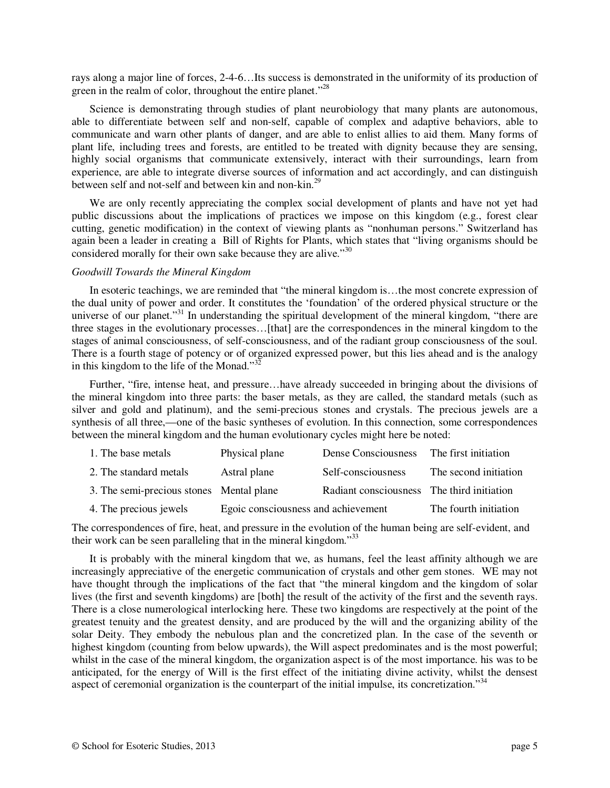rays along a major line of forces, 2-4-6…Its success is demonstrated in the uniformity of its production of green in the realm of color, throughout the entire planet."<sup>28</sup>

Science is demonstrating through studies of plant neurobiology that many plants are autonomous, able to differentiate between self and non-self, capable of complex and adaptive behaviors, able to communicate and warn other plants of danger, and are able to enlist allies to aid them. Many forms of plant life, including trees and forests, are entitled to be treated with dignity because they are sensing, highly social organisms that communicate extensively, interact with their surroundings, learn from experience, are able to integrate diverse sources of information and act accordingly, and can distinguish between self and not-self and between kin and non-kin.<sup>29</sup>

We are only recently appreciating the complex social development of plants and have not yet had public discussions about the implications of practices we impose on this kingdom (e.g., forest clear cutting, genetic modification) in the context of viewing plants as "nonhuman persons." Switzerland has again been a leader in creating a Bill of Rights for Plants, which states that "living organisms should be considered morally for their own sake because they are alive."<sup>30</sup>

#### *Goodwill Towards the Mineral Kingdom*

In esoteric teachings, we are reminded that "the mineral kingdom is...the most concrete expression of the dual unity of power and order. It constitutes the 'foundation' of the ordered physical structure or the universe of our planet."<sup>31</sup> In understanding the spiritual development of the mineral kingdom, "there are three stages in the evolutionary processes…[that] are the correspondences in the mineral kingdom to the stages of animal consciousness, of self-consciousness, and of the radiant group consciousness of the soul. There is a fourth stage of potency or of organized expressed power, but this lies ahead and is the analogy in this kingdom to the life of the Monad." $32$ 

Further, "fire, intense heat, and pressure…have already succeeded in bringing about the divisions of the mineral kingdom into three parts: the baser metals, as they are called, the standard metals (such as silver and gold and platinum), and the semi-precious stones and crystals. The precious jewels are a synthesis of all three,—one of the basic syntheses of evolution. In this connection, some correspondences between the mineral kingdom and the human evolutionary cycles might here be noted:

| 1. The base metals                       | Physical plane                      | Dense Consciousness                        | The first initiation  |
|------------------------------------------|-------------------------------------|--------------------------------------------|-----------------------|
| 2. The standard metals                   | Astral plane                        | Self-consciousness                         | The second initiation |
| 3. The semi-precious stones Mental plane |                                     | Radiant consciousness The third initiation |                       |
| 4. The precious jewels                   | Egoic consciousness and achievement |                                            | The fourth initiation |

The correspondences of fire, heat, and pressure in the evolution of the human being are self-evident, and their work can be seen paralleling that in the mineral kingdom.<sup>33</sup>

It is probably with the mineral kingdom that we, as humans, feel the least affinity although we are increasingly appreciative of the energetic communication of crystals and other gem stones. WE may not have thought through the implications of the fact that "the mineral kingdom and the kingdom of solar lives (the first and seventh kingdoms) are [both] the result of the activity of the first and the seventh rays. There is a close numerological interlocking here. These two kingdoms are respectively at the point of the greatest tenuity and the greatest density, and are produced by the will and the organizing ability of the solar Deity. They embody the nebulous plan and the concretized plan. In the case of the seventh or highest kingdom (counting from below upwards), the Will aspect predominates and is the most powerful; whilst in the case of the mineral kingdom, the organization aspect is of the most importance. his was to be anticipated, for the energy of Will is the first effect of the initiating divine activity, whilst the densest aspect of ceremonial organization is the counterpart of the initial impulse, its concretization."<sup>34</sup>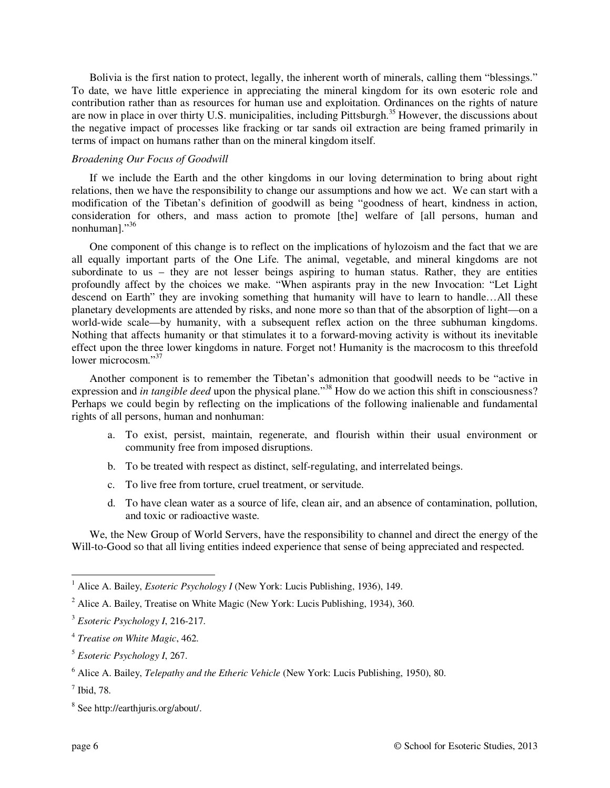Bolivia is the first nation to protect, legally, the inherent worth of minerals, calling them "blessings." To date, we have little experience in appreciating the mineral kingdom for its own esoteric role and contribution rather than as resources for human use and exploitation. Ordinances on the rights of nature are now in place in over thirty U.S. municipalities, including Pittsburgh.<sup>35</sup> However, the discussions about the negative impact of processes like fracking or tar sands oil extraction are being framed primarily in terms of impact on humans rather than on the mineral kingdom itself.

## *Broadening Our Focus of Goodwill*

If we include the Earth and the other kingdoms in our loving determination to bring about right relations, then we have the responsibility to change our assumptions and how we act. We can start with a modification of the Tibetan's definition of goodwill as being "goodness of heart, kindness in action, consideration for others, and mass action to promote [the] welfare of [all persons, human and nonhuman]."36

One component of this change is to reflect on the implications of hylozoism and the fact that we are all equally important parts of the One Life. The animal, vegetable, and mineral kingdoms are not subordinate to us – they are not lesser beings aspiring to human status. Rather, they are entities profoundly affect by the choices we make. "When aspirants pray in the new Invocation: "Let Light descend on Earth" they are invoking something that humanity will have to learn to handle…All these planetary developments are attended by risks, and none more so than that of the absorption of light—on a world-wide scale—by humanity, with a subsequent reflex action on the three subhuman kingdoms. Nothing that affects humanity or that stimulates it to a forward-moving activity is without its inevitable effect upon the three lower kingdoms in nature. Forget not! Humanity is the macrocosm to this threefold lower microcosm<sup>"37</sup>

Another component is to remember the Tibetan's admonition that goodwill needs to be "active in expression and *in tangible deed* upon the physical plane."<sup>38</sup> How do we action this shift in consciousness? Perhaps we could begin by reflecting on the implications of the following inalienable and fundamental rights of all persons, human and nonhuman:

- a. To exist, persist, maintain, regenerate, and flourish within their usual environment or community free from imposed disruptions.
- b. To be treated with respect as distinct, self-regulating, and interrelated beings.
- c. To live free from torture, cruel treatment, or servitude.
- d. To have clean water as a source of life, clean air, and an absence of contamination, pollution, and toxic or radioactive waste.

We, the New Group of World Servers, have the responsibility to channel and direct the energy of the Will-to-Good so that all living entities indeed experience that sense of being appreciated and respected.

 $\overline{a}$ 

<sup>&</sup>lt;sup>1</sup> Alice A. Bailey, *Esoteric Psychology I* (New York: Lucis Publishing, 1936), 149.

 $2$  Alice A. Bailey, Treatise on White Magic (New York: Lucis Publishing, 1934), 360.

<sup>3</sup> *Esoteric Psychology I*, 216-217.

<sup>4</sup> *Treatise on White Magic*, 462.

<sup>5</sup> *Esoteric Psychology I*, 267.

<sup>6</sup> Alice A. Bailey, *Telepathy and the Etheric Vehicle* (New York: Lucis Publishing, 1950), 80.

<sup>7</sup> Ibid, 78.

<sup>8</sup> See http://earthjuris.org/about/.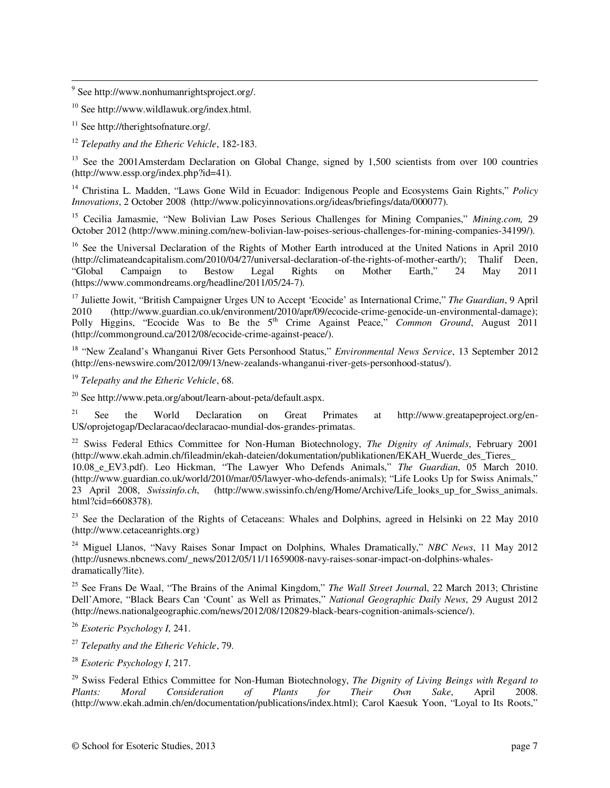<sup>9</sup> See http://www.nonhumanrightsproject.org/.

<sup>10</sup> See http://www.wildlawuk.org/index.html.

 $11$  See http://therightsofnature.org/.

 $\overline{a}$ 

<sup>12</sup> *Telepathy and the Etheric Vehicle*, 182-183.

<sup>13</sup> See the 2001Amsterdam Declaration on Global Change, signed by 1,500 scientists from over 100 countries (http://www.essp.org/index.php?id=41).

<sup>14</sup> Christina L. Madden, "Laws Gone Wild in Ecuador: Indigenous People and Ecosystems Gain Rights," *Policy Innovations*, 2 October 2008 (http://www.policyinnovations.org/ideas/briefings/data/000077).

<sup>15</sup> Cecilia Jamasmie, "New Bolivian Law Poses Serious Challenges for Mining Companies," *Mining.com,* 29 October 2012 (http://www.mining.com/new-bolivian-law-poises-serious-challenges-for-mining-companies-34199/).

<sup>16</sup> See the Universal Declaration of the Rights of Mother Earth introduced at the United Nations in April 2010 (http://climateandcapitalism.com/2010/04/27/universal-declaration-of-the-rights-of-mother-earth/): Thalif Dee  $(\text{http://climate} and \text{capitalism.com}/2010/04/27/\text{universal-declaration-of-the-right-of-mother-earth/});$ "Global Campaign to Bestow Legal Rights on Mother Earth," 24 May 2011 (https://www.commondreams.org/headline/2011/05/24-7).

<sup>17</sup> Juliette Jowit, "British Campaigner Urges UN to Accept 'Ecocide' as International Crime," *The Guardian*, 9 April 2010 (http://www.guardian.co.uk/environment/2010/apr/09/ecocide-crime-genocide-un-environmental-damage); Polly Higgins, "Ecocide Was to Be the 5<sup>th</sup> Crime Against Peace," *Common Ground*, August 2011 (http://commonground.ca/2012/08/ecocide-crime-against-peace/).

<sup>18</sup> "New Zealand's Whanganui River Gets Personhood Status," *Environmental News Service*, 13 September 2012 (http://ens-newswire.com/2012/09/13/new-zealands-whanganui-river-gets-personhood-status/).

<sup>19</sup> *Telepathy and the Etheric Vehicle*, 68.

 $^{20}$  See http://www.peta.org/about/learn-about-peta/default.aspx.

<sup>21</sup> See the World Declaration on Great Primates at http://www.greatapeproject.org/en-US/oprojetogap/Declaracao/declaracao-mundial-dos-grandes-primatas.

<sup>22</sup> Swiss Federal Ethics Committee for Non-Human Biotechnology, *The Dignity of Animals*, February 2001 (http://www.ekah.admin.ch/fileadmin/ekah-dateien/dokumentation/publikationen/EKAH\_Wuerde\_des\_Tieres\_ 10.08\_e\_EV3.pdf). Leo Hickman, "The Lawyer Who Defends Animals," *The Guardian*, 05 March 2010. (http://www.guardian.co.uk/world/2010/mar/05/lawyer-who-defends-animals); "Life Looks Up for Swiss Animals," 23 April 2008, *Swissinfo.ch*, (http://www.swissinfo.ch/eng/Home/Archive/Life\_looks\_up\_for\_Swiss\_animals. html?cid=6608378).

<sup>23</sup> See the Declaration of the Rights of Cetaceans: Whales and Dolphins, agreed in Helsinki on 22 May 2010 (http://www.cetaceanrights.org)

<sup>24</sup> Miguel Llanos, "Navy Raises Sonar Impact on Dolphins, Whales Dramatically," *NBC News*, 11 May 2012 (http://usnews.nbcnews.com/\_news/2012/05/11/11659008-navy-raises-sonar-impact-on-dolphins-whalesdramatically?lite).

<sup>25</sup> See Frans De Waal, "The Brains of the Animal Kingdom," *The Wall Street Journa*l, 22 March 2013; Christine Dell'Amore, "Black Bears Can 'Count' as Well as Primates," *National Geographic Daily News*, 29 August 2012 (http://news.nationalgeographic.com/news/2012/08/120829-black-bears-cognition-animals-science/).

<sup>26</sup> *Esoteric Psychology I*, 241.

<sup>27</sup> *Telepathy and the Etheric Vehicle*, 79.

<sup>28</sup> *Esoteric Psychology I*, 217.

<sup>29</sup> Swiss Federal Ethics Committee for Non-Human Biotechnology, *The Dignity of Living Beings with Regard to Plants: Moral Consideration of Plants for Their Own Sake*, April 2008. (http://www.ekah.admin.ch/en/documentation/publications/index.html); Carol Kaesuk Yoon, "Loyal to Its Roots,"